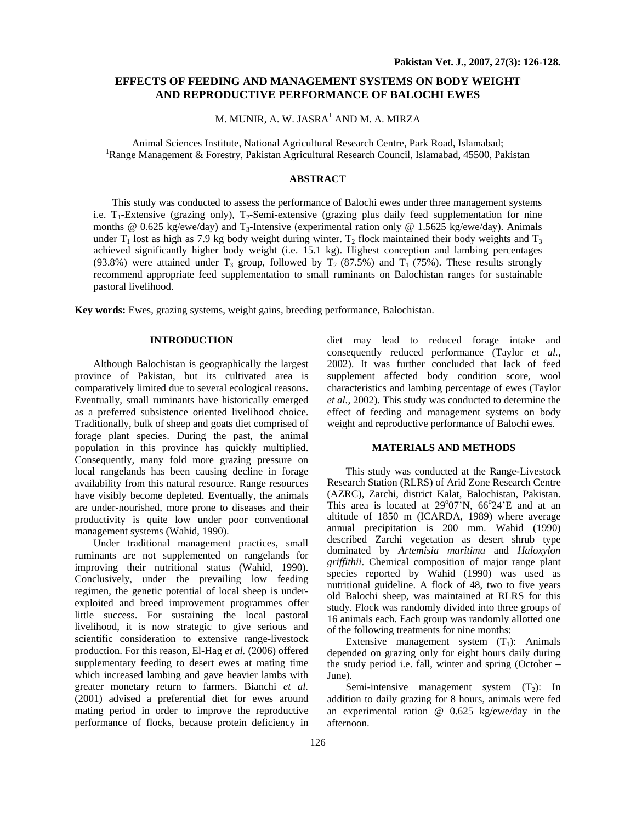# **EFFECTS OF FEEDING AND MANAGEMENT SYSTEMS ON BODY WEIGHT AND REPRODUCTIVE PERFORMANCE OF BALOCHI EWES**

M. MUNIR, A. W. JASRA<sup>1</sup> AND M. A. MIRZA

Animal Sciences Institute, National Agricultural Research Centre, Park Road, Islamabad; 1 <sup>1</sup>Range Management & Forestry, Pakistan Agricultural Research Council, Islamabad, 45500, Pakistan

## **ABSTRACT**

This study was conducted to assess the performance of Balochi ewes under three management systems i.e.  $T_1$ -Extensive (grazing only),  $T_2$ -Semi-extensive (grazing plus daily feed supplementation for nine months @ 0.625 kg/ewe/day) and T<sub>3</sub>-Intensive (experimental ration only @ 1.5625 kg/ewe/day). Animals under  $T_1$  lost as high as 7.9 kg body weight during winter.  $T_2$  flock maintained their body weights and  $T_3$ achieved significantly higher body weight (i.e. 15.1 kg). Highest conception and lambing percentages (93.8%) were attained under  $T_3$  group, followed by  $T_2$  (87.5%) and  $T_1$  (75%). These results strongly recommend appropriate feed supplementation to small ruminants on Balochistan ranges for sustainable pastoral livelihood.

**Key words:** Ewes, grazing systems, weight gains, breeding performance, Balochistan.

#### **INTRODUCTION**

Although Balochistan is geographically the largest province of Pakistan, but its cultivated area is comparatively limited due to several ecological reasons. Eventually, small ruminants have historically emerged as a preferred subsistence oriented livelihood choice. Traditionally, bulk of sheep and goats diet comprised of forage plant species. During the past, the animal population in this province has quickly multiplied. Consequently, many fold more grazing pressure on local rangelands has been causing decline in forage availability from this natural resource. Range resources have visibly become depleted. Eventually, the animals are under-nourished, more prone to diseases and their productivity is quite low under poor conventional management systems (Wahid, 1990).

Under traditional management practices, small ruminants are not supplemented on rangelands for improving their nutritional status (Wahid, 1990). Conclusively, under the prevailing low feeding regimen, the genetic potential of local sheep is underexploited and breed improvement programmes offer little success. For sustaining the local pastoral livelihood, it is now strategic to give serious and scientific consideration to extensive range-livestock production. For this reason, El-Hag *et al.* (2006) offered supplementary feeding to desert ewes at mating time which increased lambing and gave heavier lambs with greater monetary return to farmers. Bianchi *et al.* (2001) advised a preferential diet for ewes around mating period in order to improve the reproductive performance of flocks, because protein deficiency in

diet may lead to reduced forage intake and consequently reduced performance (Taylor *et al.,* 2002). It was further concluded that lack of feed supplement affected body condition score, wool characteristics and lambing percentage of ewes (Taylor *et al.,* 2002). This study was conducted to determine the effect of feeding and management systems on body weight and reproductive performance of Balochi ewes.

## **MATERIALS AND METHODS**

This study was conducted at the Range-Livestock Research Station (RLRS) of Arid Zone Research Centre (AZRC), Zarchi, district Kalat, Balochistan, Pakistan. This area is located at  $29^{\circ}07^{\prime}N$ ,  $66^{\circ}24^{\prime}E$  and at an altitude of 1850 m (ICARDA, 1989) where average annual precipitation is 200 mm. Wahid (1990) described Zarchi vegetation as desert shrub type dominated by *Artemisia maritima* and *Haloxylon griffithii*. Chemical composition of major range plant species reported by Wahid (1990) was used as nutritional guideline. A flock of 48, two to five years old Balochi sheep, was maintained at RLRS for this study. Flock was randomly divided into three groups of 16 animals each. Each group was randomly allotted one of the following treatments for nine months:

Extensive management system  $(T_1)$ : Animals depended on grazing only for eight hours daily during the study period i.e. fall, winter and spring (October – June).

Semi-intensive management system  $(T_2)$ : In addition to daily grazing for 8 hours, animals were fed an experimental ration @ 0.625 kg/ewe/day in the afternoon.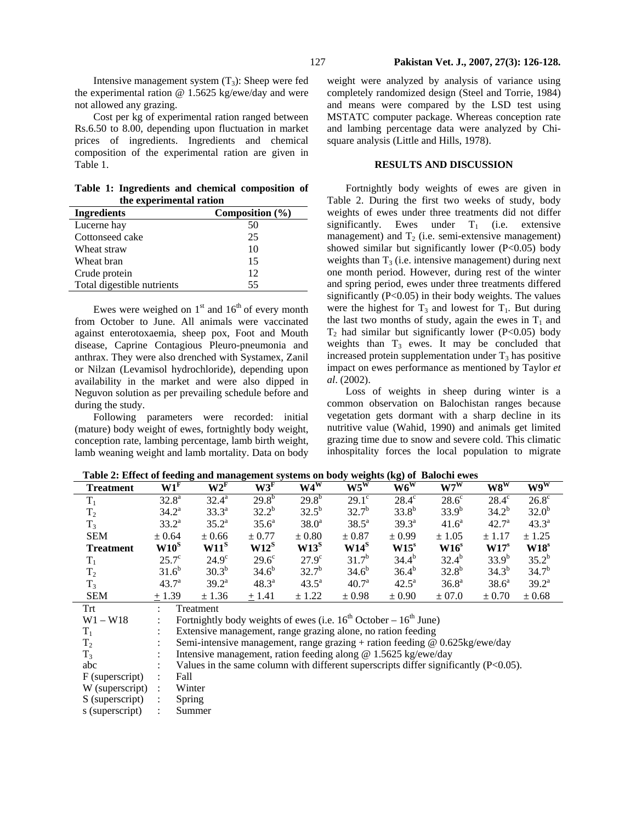Intensive management system  $(T_3)$ : Sheep were fed the experimental ration @ 1.5625 kg/ewe/day and were not allowed any grazing.

Cost per kg of experimental ration ranged between Rs.6.50 to 8.00, depending upon fluctuation in market prices of ingredients. Ingredients and chemical composition of the experimental ration are given in Table 1.

**Table 1: Ingredients and chemical composition of the experimental ration** 

| <b>Ingredients</b>         | Composition $(\% )$ |
|----------------------------|---------------------|
| Lucerne hay                | 50                  |
| Cottonseed cake            | 25                  |
| Wheat straw                | 10                  |
| Wheat bran                 | 15                  |
| Crude protein              | 12                  |
| Total digestible nutrients | 55                  |

Ewes were weighed on  $1<sup>st</sup>$  and  $16<sup>th</sup>$  of every month from October to June. All animals were vaccinated against enterotoxaemia, sheep pox, Foot and Mouth disease, Caprine Contagious Pleuro-pneumonia and anthrax. They were also drenched with Systamex, Zanil or Nilzan (Levamisol hydrochloride), depending upon availability in the market and were also dipped in Neguvon solution as per prevailing schedule before and during the study.

Following parameters were recorded: initial (mature) body weight of ewes, fortnightly body weight, conception rate, lambing percentage, lamb birth weight, lamb weaning weight and lamb mortality. Data on body

weight were analyzed by analysis of variance using completely randomized design (Steel and Torrie, 1984) and means were compared by the LSD test using MSTATC computer package. Whereas conception rate and lambing percentage data were analyzed by Chisquare analysis (Little and Hills, 1978).

## **RESULTS AND DISCUSSION**

Fortnightly body weights of ewes are given in Table 2. During the first two weeks of study, body weights of ewes under three treatments did not differ significantly. Ewes under  $T_1$  (i.e. extensive management) and  $T_2$  (i.e. semi-extensive management) showed similar but significantly lower  $(P<0.05)$  body weights than  $T_3$  (i.e. intensive management) during next one month period. However, during rest of the winter and spring period, ewes under three treatments differed significantly  $(P<0.05)$  in their body weights. The values were the highest for  $T_3$  and lowest for  $T_1$ . But during the last two months of study, again the ewes in  $T_1$  and  $T_2$  had similar but significantly lower (P<0.05) body weights than  $T_3$  ewes. It may be concluded that increased protein supplementation under  $T_3$  has positive impact on ewes performance as mentioned by Taylor *et al*. (2002).

Loss of weights in sheep during winter is a common observation on Balochistan ranges because vegetation gets dormant with a sharp decline in its nutritive value (Wahid, 1990) and animals get limited grazing time due to snow and severe cold. This climatic inhospitality forces the local population to migrate

| $\ldots$ $\ldots$ |                 |                | of recump and management systems on long weights (mg) or Bulocin Cwes |                |                   |                |                   |                   |                                       |
|-------------------|-----------------|----------------|-----------------------------------------------------------------------|----------------|-------------------|----------------|-------------------|-------------------|---------------------------------------|
| <b>Treatment</b>  | W1 <sup>F</sup> | $W2^F$         | W3 <sup>F</sup>                                                       | W4W            | $W5^W$            | $W6^{W}$       | $W7^W$            | $W8^{W}$          | $\overline{\mathbf{W9}^{\mathbf{W}}}$ |
| $T_1$             | $32.8^{\circ}$  | $32.4^{\rm a}$ | $29.8^{b}$                                                            | $29.8^{b}$     | $29.1^\circ$      | $28.4^\circ$   | $28.6^\circ$      | $28.4^\circ$      | $26.8^\circ$                          |
| T <sub>2</sub>    | $34.2^{\rm a}$  | $33.3^{a}$     | $32.2^{b}$                                                            | $32.5^{b}$     | $32.7^{b}$        | $33.8^{b}$     | $33.9^{b}$        | $34.2^{b}$        | $32.0^{b}$                            |
| $T_3$             | $33.2^a$        | $35.2^{\rm a}$ | $35.6^{\circ}$                                                        | $38.0^{\circ}$ | $38.5^a$          | $39.3^{\circ}$ | $41.6^a$          | $42.7^{\rm a}$    | $43.3^{\circ}$                        |
| <b>SEM</b>        | ± 0.64          | $\pm 0.66$     | $\pm 0.77$                                                            | $\pm 0.80$     | $\pm 0.87$        | $\pm 0.99$     | $\pm 1.05$        | ± 1.17            | ± 1.25                                |
| <b>Treatment</b>  | $W10^{S}$       | $W11^S$        | $W12^S$                                                               | $W13^S$        | $W14^S$           | $W15^s$        | $W16^s$           | W17 <sup>s</sup>  | $W18^s$                               |
| $T_1$             | $25.7^{\circ}$  | $24.9^\circ$   | $29.6^\circ$                                                          | $27.9^\circ$   | $31.7^{b}$        | $34.4^{b}$     | $32.4^{b}$        | $33.9^{b}$        | $35.2^{b}$                            |
| $T_2$             | $31.6^{b}$      | $30.3^{b}$     | $34.6^{b}$                                                            | $32.7^{b}$     | $34.6^{b}$        | $36.4^{b}$     | $32.8^{b}$        | $34.3^{b}$        | $34.7^{b}$                            |
| $T_3$             | $43.7^{\circ}$  | $39.2^{\rm a}$ | $48.3^{\circ}$                                                        | $43.5^{\circ}$ | 40.7 <sup>a</sup> | $42.5^{\rm a}$ | 36.8 <sup>a</sup> | 38.6 <sup>a</sup> | $39.2^{\rm a}$                        |
| <b>SEM</b>        | $+1.39$         | ± 1.36         | $+1.41$                                                               | ± 1.22         | ± 0.98            | ± 0.90         | ± 07.0            | $\pm 0.70$        | ± 0.68                                |
| Trf               |                 | Treatment      |                                                                       |                |                   |                |                   |                   |                                       |

**Table 2: Effect of feeding and management systems on body weights (kg) of Balochi ewes** 

| 13              | 49.7    | J7.Z                                                                                    | 40.J    | 49.9       | $+0.7$     | 44.J       | JU.O       | JO.U       | ور        |
|-----------------|---------|-----------------------------------------------------------------------------------------|---------|------------|------------|------------|------------|------------|-----------|
| <b>SEM</b>      | $+1.39$ | $\pm$ 1.36                                                                              | $+1.41$ | $\pm$ 1.22 | $\pm 0.98$ | $\pm 0.90$ | $\pm 07.0$ | $\pm 0.70$ | $\pm 0.6$ |
| Trt             |         | Treatment                                                                               |         |            |            |            |            |            |           |
| $W1 - W18$      |         | Fortnightly body weights of ewes (i.e. $16^{th}$ October – $16^{th}$ June)              |         |            |            |            |            |            |           |
| $T_1$           |         | Extensive management, range grazing alone, no ration feeding                            |         |            |            |            |            |            |           |
| T <sub>2</sub>  |         | Semi-intensive management, range grazing + ration feeding $@$ 0.625kg/ewe/day           |         |            |            |            |            |            |           |
| $T_3$           |         | Intensive management, ration feeding along $\omega$ 1.5625 kg/ewe/day                   |         |            |            |            |            |            |           |
| abc             |         | Values in the same column with different superscripts differ significantly $(P<0.05)$ . |         |            |            |            |            |            |           |
| F (superscript) |         | Fall                                                                                    |         |            |            |            |            |            |           |
| W (superscript) |         | Winter                                                                                  |         |            |            |            |            |            |           |
| S (superscript) |         | Spring                                                                                  |         |            |            |            |            |            |           |
| s (superscript) |         | Summer                                                                                  |         |            |            |            |            |            |           |
|                 |         |                                                                                         |         |            |            |            |            |            |           |